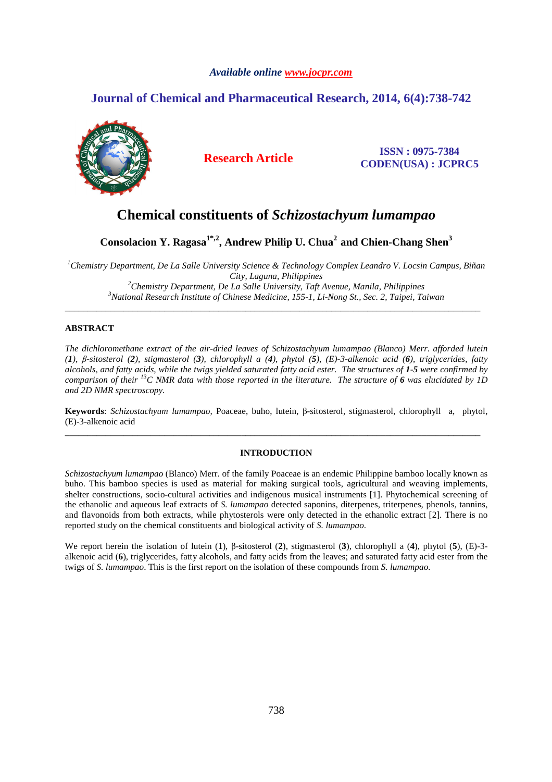## *Available online www.jocpr.com*

## **Journal of Chemical and Pharmaceutical Research, 2014, 6(4):738-742**



**Research Article ISSN : 0975-7384 CODEN(USA) : JCPRC5**

# **Chemical constituents of** *Schizostachyum lumampao*

**Consolacion Y. Ragasa1\*,2, Andrew Philip U. Chua<sup>2</sup>and Chien-Chang Shen<sup>3</sup>**

*Chemistry Department, De La Salle University Science & Technology Complex Leandro V. Locsin Campus, Biñan City, Laguna, Philippines Chemistry Department, De La Salle University, Taft Avenue, Manila, Philippines National Research Institute of Chinese Medicine, 155-1, Li-Nong St., Sec. 2, Taipei, Taiwan* 

\_\_\_\_\_\_\_\_\_\_\_\_\_\_\_\_\_\_\_\_\_\_\_\_\_\_\_\_\_\_\_\_\_\_\_\_\_\_\_\_\_\_\_\_\_\_\_\_\_\_\_\_\_\_\_\_\_\_\_\_\_\_\_\_\_\_\_\_\_\_\_\_\_\_\_\_\_\_\_\_\_\_\_\_\_\_\_\_\_\_\_\_

## **ABSTRACT**

*The dichloromethane extract of the air-dried leaves of Schizostachyum lumampao (Blanco) Merr. afforded lutein (1), β-sitosterol (2), stigmasterol (3), chlorophyll a (4), phytol (5), (E)-3-alkenoic acid (6), triglycerides, fatty alcohols, and fatty acids, while the twigs yielded saturated fatty acid ester. The structures of 1-5 were confirmed by comparison of their <sup>13</sup>C NMR data with those reported in the literature. The structure of 6 was elucidated by 1D and 2D NMR spectroscopy.* 

**Keywords**: *Schizostachyum lumampao,* Poaceae, buho, lutein, β-sitosterol, stigmasterol, chlorophyll a, phytol, (E)-3-alkenoic acid \_\_\_\_\_\_\_\_\_\_\_\_\_\_\_\_\_\_\_\_\_\_\_\_\_\_\_\_\_\_\_\_\_\_\_\_\_\_\_\_\_\_\_\_\_\_\_\_\_\_\_\_\_\_\_\_\_\_\_\_\_\_\_\_\_\_\_\_\_\_\_\_\_\_\_\_\_\_\_\_\_\_\_\_\_\_\_\_\_\_\_\_

## **INTRODUCTION**

*Schizostachyum lumampao* (Blanco) Merr. of the family Poaceae is an endemic Philippine bamboo locally known as buho. This bamboo species is used as material for making surgical tools, agricultural and weaving implements, shelter constructions, socio-cultural activities and indigenous musical instruments [1]. Phytochemical screening of the ethanolic and aqueous leaf extracts of *S. lumampao* detected saponins, diterpenes, triterpenes, phenols, tannins, and flavonoids from both extracts, while phytosterols were only detected in the ethanolic extract [2]. There is no reported study on the chemical constituents and biological activity of *S. lumampao*.

We report herein the isolation of lutein (**1**), β-sitosterol (**2**), stigmasterol (**3**), chlorophyll a (**4**), phytol (**5**), (E)-3 alkenoic acid (**6**), triglycerides, fatty alcohols, and fatty acids from the leaves; and saturated fatty acid ester from the twigs of *S. lumampao*. This is the first report on the isolation of these compounds from *S. lumampao.*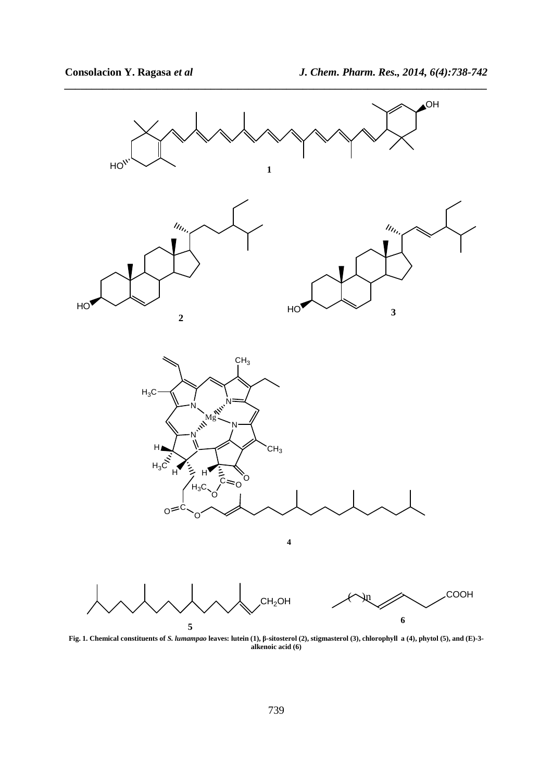

*\_\_\_\_\_\_\_\_\_\_\_\_\_\_\_\_\_\_\_\_\_\_\_\_\_\_\_\_\_\_\_\_\_\_\_\_\_\_\_\_\_\_\_\_\_\_\_\_\_\_\_\_\_\_\_\_\_\_\_\_\_\_\_\_\_\_\_\_\_\_\_\_\_\_\_\_\_\_*

**Fig. 1. Chemical constituents of** *S. lumampao* **leaves: lutein (1), β-sitosterol (2), stigmasterol (3), chlorophyll a (4), phytol (5), and (E)-3 alkenoic acid (6)**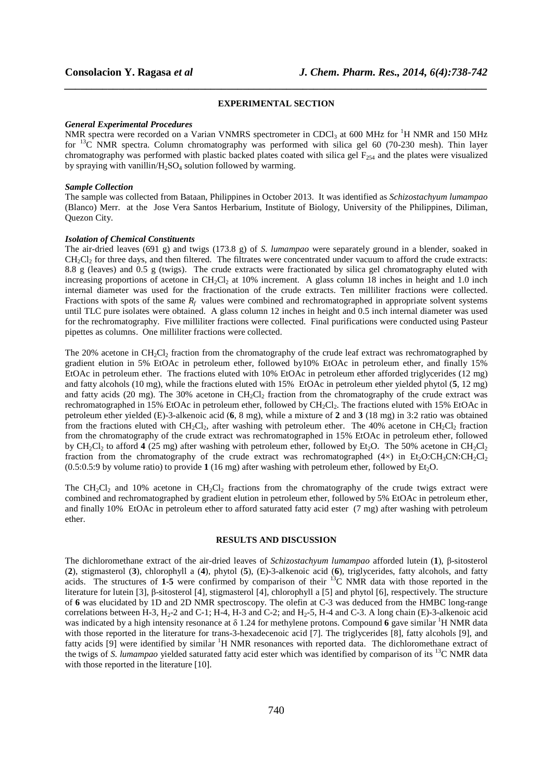#### **EXPERIMENTAL SECTION**

*\_\_\_\_\_\_\_\_\_\_\_\_\_\_\_\_\_\_\_\_\_\_\_\_\_\_\_\_\_\_\_\_\_\_\_\_\_\_\_\_\_\_\_\_\_\_\_\_\_\_\_\_\_\_\_\_\_\_\_\_\_\_\_\_\_\_\_\_\_\_\_\_\_\_\_\_\_\_*

#### *General Experimental Procedures*

NMR spectra were recorded on a Varian VNMRS spectrometer in CDCl<sub>3</sub> at 600 MHz for <sup>1</sup>H NMR and 150 MHz for  $^{13}$ C NMR spectra. Column chromatography was performed with silica gel 60 (70-230 mesh). Thin layer chromatography was performed with plastic backed plates coated with silica gel  $F_{254}$  and the plates were visualized by spraying with vanillin/H2SO4 solution followed by warming.

#### *Sample Collection*

The sample was collected from Bataan, Philippines in October 2013. It was identified as *Schizostachyum lumampao*  (Blanco) Merr. at the Jose Vera Santos Herbarium, Institute of Biology, University of the Philippines, Diliman, Quezon City.

#### *Isolation of Chemical Constituents*

The air-dried leaves (691 g) and twigs (173.8 g) of *S. lumampao* were separately ground in a blender, soaked in  $CH<sub>2</sub>Cl<sub>2</sub>$  for three days, and then filtered. The filtrates were concentrated under vacuum to afford the crude extracts: 8.8 g (leaves) and 0.5 g (twigs). The crude extracts were fractionated by silica gel chromatography eluted with increasing proportions of acetone in  $CH_2Cl_2$  at 10% increment. A glass column 18 inches in height and 1.0 inch internal diameter was used for the fractionation of the crude extracts. Ten milliliter fractions were collected. Fractions with spots of the same  $R_f$  values were combined and rechromatographed in appropriate solvent systems until TLC pure isolates were obtained. A glass column 12 inches in height and 0.5 inch internal diameter was used for the rechromatography. Five milliliter fractions were collected. Final purifications were conducted using Pasteur pipettes as columns. One milliliter fractions were collected.

The 20% acetone in  $CH_2Cl_2$  fraction from the chromatography of the crude leaf extract was rechromatographed by gradient elution in 5% EtOAc in petroleum ether, followed by10% EtOAc in petroleum ether, and finally 15% EtOAc in petroleum ether. The fractions eluted with 10% EtOAc in petroleum ether afforded triglycerides (12 mg) and fatty alcohols (10 mg), while the fractions eluted with 15% EtOAc in petroleum ether yielded phytol (**5**, 12 mg) and fatty acids (20 mg). The 30% acetone in  $CH_2Cl_2$  fraction from the chromatography of the crude extract was rechromatographed in 15% EtOAc in petroleum ether, followed by CH<sub>2</sub>Cl<sub>2</sub>. The fractions eluted with 15% EtOAc in petroleum ether yielded (E)-3-alkenoic acid (**6**, 8 mg), while a mixture of **2** and **3** (18 mg) in 3:2 ratio was obtained from the fractions eluted with  $CH_2Cl_2$ , after washing with petroleum ether. The 40% acetone in  $CH_2Cl_2$  fraction from the chromatography of the crude extract was rechromatographed in 15% EtOAc in petroleum ether, followed by CH<sub>2</sub>Cl<sub>2</sub> to afford **4** (25 mg) after washing with petroleum ether, followed by Et<sub>2</sub>O. The 50% acetone in CH<sub>2</sub>Cl<sub>2</sub> fraction from the chromatography of the crude extract was rechromatographed (4 $\times$ ) in Et<sub>2</sub>O:CH<sub>3</sub>CN:CH<sub>2</sub>Cl<sub>2</sub>  $(0.5:0.5:9$  by volume ratio) to provide 1  $(16 \text{ mg})$  after washing with petroleum ether, followed by Et<sub>2</sub>O.

The CH<sub>2</sub>Cl<sub>2</sub> and 10% acetone in CH<sub>2</sub>Cl<sub>2</sub> fractions from the chromatography of the crude twigs extract were combined and rechromatographed by gradient elution in petroleum ether, followed by 5% EtOAc in petroleum ether, and finally 10% EtOAc in petroleum ether to afford saturated fatty acid ester (7 mg) after washing with petroleum ether.

#### **RESULTS AND DISCUSSION**

The dichloromethane extract of the air-dried leaves of *Schizostachyum lumampao* afforded lutein (**1**), β-sitosterol (**2**), stigmasterol (**3**), chlorophyll a (**4**), phytol (**5**), (E)-3-alkenoic acid (**6**), triglycerides, fatty alcohols, and fatty acids. The structures of **1**-**5** were confirmed by comparison of their <sup>13</sup>C NMR data with those reported in the literature for lutein [3], β-sitosterol [4], stigmasterol [4], chlorophyll a [5] and phytol [6], respectively. The structure of **6** was elucidated by 1D and 2D NMR spectroscopy. The olefin at C-3 was deduced from the HMBC long-range correlations between H-3,  $H_2$ -2 and C-1; H-4, H-3 and C-2; and H<sub>2</sub>-5, H-4 and C-3. A long chain (E)-3-alkenoic acid was indicated by a high intensity resonance at  $\delta$  1.24 for methylene protons. Compound 6 gave similar <sup>1</sup>H NMR data with those reported in the literature for trans-3-hexadecenoic acid [7]. The triglycerides [8], fatty alcohols [9], and fatty acids [9] were identified by similar <sup>1</sup>H NMR resonances with reported data. The dichloromethane extract of the twigs of *S. lumampao* yielded saturated fatty acid ester which was identified by comparison of its <sup>13</sup>C NMR data with those reported in the literature [10].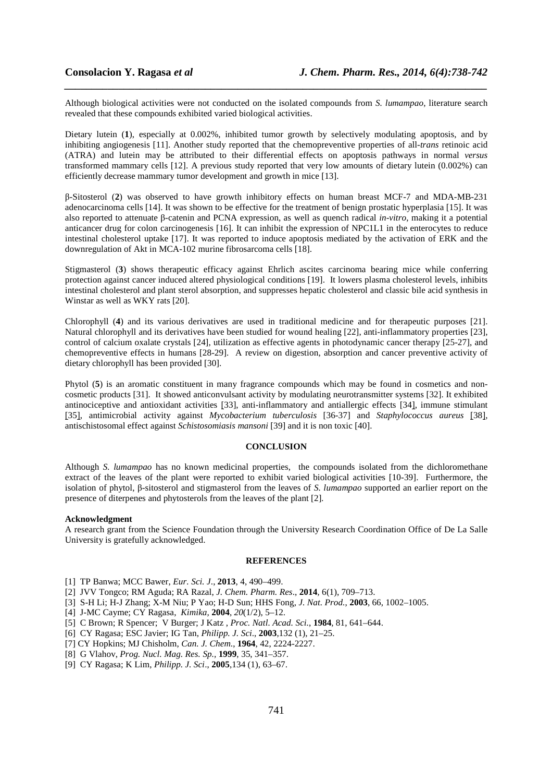Although biological activities were not conducted on the isolated compounds from *S. lumampao*, literature search revealed that these compounds exhibited varied biological activities.

*\_\_\_\_\_\_\_\_\_\_\_\_\_\_\_\_\_\_\_\_\_\_\_\_\_\_\_\_\_\_\_\_\_\_\_\_\_\_\_\_\_\_\_\_\_\_\_\_\_\_\_\_\_\_\_\_\_\_\_\_\_\_\_\_\_\_\_\_\_\_\_\_\_\_\_\_\_\_*

Dietary lutein (**1**), especially at 0.002%, inhibited tumor growth by selectively modulating apoptosis, and by inhibiting angiogenesis [11]. Another study reported that the chemopreventive properties of all-*trans* retinoic acid (ATRA) and lutein may be attributed to their differential effects on apoptosis pathways in normal *versus*  transformed mammary cells [12]. A previous study reported that very low amounts of dietary lutein (0.002%) can efficiently decrease mammary tumor development and growth in mice [13].

β-Sitosterol (**2**) was observed to have growth inhibitory effects on human breast MCF-7 and MDA-MB-231 adenocarcinoma cells [14]. It was shown to be effective for the treatment of benign prostatic hyperplasia [15]. It was also reported to attenuate β-catenin and PCNA expression, as well as quench radical *in-vitro*, making it a potential anticancer drug for colon carcinogenesis [16]. It can inhibit the expression of NPC1L1 in the enterocytes to reduce intestinal cholesterol uptake [17]. It was reported to induce apoptosis mediated by the activation of ERK and the downregulation of Akt in MCA-102 murine fibrosarcoma cells [18].

Stigmasterol (**3**) shows therapeutic efficacy against Ehrlich ascites carcinoma bearing mice while conferring protection against cancer induced altered physiological conditions [19]. It lowers plasma cholesterol levels, inhibits intestinal cholesterol and plant sterol absorption, and suppresses hepatic cholesterol and classic bile acid synthesis in Winstar as well as WKY rats [20].

Chlorophyll (**4**) and its various derivatives are used in traditional medicine and for therapeutic purposes [21]. Natural chlorophyll and its derivatives have been studied for wound healing [22], anti-inflammatory properties [23], control of calcium oxalate crystals [24], utilization as effective agents in photodynamic cancer therapy [25-27], and chemopreventive effects in humans [28-29]. A review on digestion, absorption and cancer preventive activity of dietary chlorophyll has been provided [30].

Phytol (5) is an aromatic constituent in many fragrance compounds which may be found in cosmetics and noncosmetic products [31]. It showed anticonvulsant activity by modulating neurotransmitter systems [32]. It exhibited antinociceptive and antioxidant activities [33], anti-inflammatory and antiallergic effects [34], immune stimulant [35], antimicrobial activity against *Mycobacterium tuberculosis* [36-37] and *Staphylococcus aureus* [38], antischistosomal effect against *Schistosomiasis mansoni* [39] and it is non toxic [40].

### **CONCLUSION**

Although *S. lumampao* has no known medicinal properties, the compounds isolated from the dichloromethane extract of the leaves of the plant were reported to exhibit varied biological activities [10-39]. Furthermore, the isolation of phytol, β-sitosterol and stigmasterol from the leaves of *S. lumampao* supported an earlier report on the presence of diterpenes and phytosterols from the leaves of the plant [2]*.* 

## **Acknowledgment**

A research grant from the Science Foundation through the University Research Coordination Office of De La Salle University is gratefully acknowledged.

#### **REFERENCES**

- [1] TP Banwa; MCC Bawer, *Eur. Sci. J*., **2013**, 4, 490–499.
- [2] JVV Tongco; RM Aguda; RA Razal, *J. Chem. Pharm. Res*., **2014**, 6(1), 709–713.
- [3] S-H Li; H-J Zhang; X-M Niu; P Yao; H-D Sun; HHS Fong, *J. Nat. Prod.*, **2003**, 66, 1002–1005.
- [4] J-MC Cayme; CY Ragasa, *Kimika,* **2004**, *20*(1/2), 5–12.
- [5] C Brown; R Spencer; V Burger; J Katz , *Proc. Natl. Acad. Sci.*, **1984**, 81, 641–644.
- [6] CY Ragasa; ESC Javier; IG Tan, *Philipp. J. Sci*., **2003**,132 (1), 21–25.
- [7] CY Hopkins; MJ Chisholm, *Can. J. Chem*., **1964**, 42, 2224-2227.
- [8] G Vlahov, *Prog. Nucl. Mag. Res. Sp.,* **1999**, 35, 341–357.
- [9] CY Ragasa; K Lim, *Philipp. J. Sci*., **2005**,134 (1), 63–67.